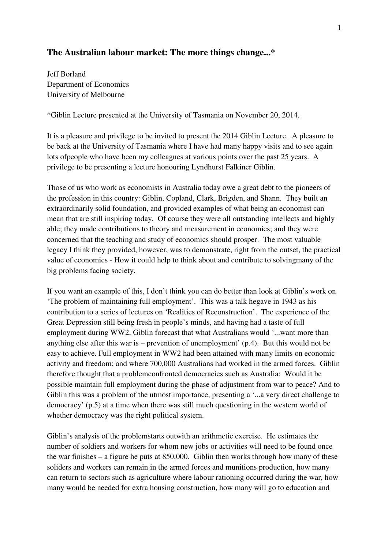# **The Australian labour market: The more things change...\***

Jeff Borland Department of Economics University of Melbourne

\*Giblin Lecture presented at the University of Tasmania on November 20, 2014.

It is a pleasure and privilege to be invited to present the 2014 Giblin Lecture. A pleasure to be back at the University of Tasmania where I have had many happy visits and to see again lots ofpeople who have been my colleagues at various points over the past 25 years. A privilege to be presenting a lecture honouring Lyndhurst Falkiner Giblin.

Those of us who work as economists in Australia today owe a great debt to the pioneers of the profession in this country: Giblin, Copland, Clark, Brigden, and Shann. They built an extraordinarily solid foundation, and provided examples of what being an economist can mean that are still inspiring today. Of course they were all outstanding intellects and highly able; they made contributions to theory and measurement in economics; and they were concerned that the teaching and study of economics should prosper. The most valuable legacy I think they provided, however, was to demonstrate, right from the outset, the practical value of economics - How it could help to think about and contribute to solvingmany of the big problems facing society.

If you want an example of this, I don't think you can do better than look at Giblin's work on 'The problem of maintaining full employment'. This was a talk hegave in 1943 as his contribution to a series of lectures on 'Realities of Reconstruction'. The experience of the Great Depression still being fresh in people's minds, and having had a taste of full employment during WW2, Giblin forecast that what Australians would '...want more than anything else after this war is – prevention of unemployment' (p.4). But this would not be easy to achieve. Full employment in WW2 had been attained with many limits on economic activity and freedom; and where 700,000 Australians had worked in the armed forces. Giblin therefore thought that a problemconfronted democracies such as Australia: Would it be possible maintain full employment during the phase of adjustment from war to peace? And to Giblin this was a problem of the utmost importance, presenting a '...a very direct challenge to democracy' (p.5) at a time when there was still much questioning in the western world of whether democracy was the right political system.

Giblin's analysis of the problemstarts outwith an arithmetic exercise. He estimates the number of soldiers and workers for whom new jobs or activities will need to be found once the war finishes – a figure he puts at 850,000. Giblin then works through how many of these soliders and workers can remain in the armed forces and munitions production, how many can return to sectors such as agriculture where labour rationing occurred during the war, how many would be needed for extra housing construction, how many will go to education and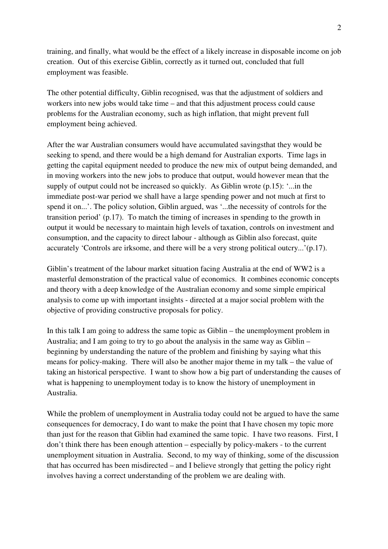training, and finally, what would be the effect of a likely increase in disposable income on job creation. Out of this exercise Giblin, correctly as it turned out, concluded that full employment was feasible.

The other potential difficulty, Giblin recognised, was that the adjustment of soldiers and workers into new jobs would take time – and that this adjustment process could cause problems for the Australian economy, such as high inflation, that might prevent full employment being achieved.

After the war Australian consumers would have accumulated savingsthat they would be seeking to spend, and there would be a high demand for Australian exports. Time lags in getting the capital equipment needed to produce the new mix of output being demanded, and in moving workers into the new jobs to produce that output, would however mean that the supply of output could not be increased so quickly. As Giblin wrote (p.15): '...in the immediate post-war period we shall have a large spending power and not much at first to spend it on...'. The policy solution, Giblin argued, was '...the necessity of controls for the transition period' (p.17). To match the timing of increases in spending to the growth in output it would be necessary to maintain high levels of taxation, controls on investment and consumption, and the capacity to direct labour - although as Giblin also forecast, quite accurately 'Controls are irksome, and there will be a very strong political outcry...'(p.17).

Giblin's treatment of the labour market situation facing Australia at the end of WW2 is a masterful demonstration of the practical value of economics. It combines economic concepts and theory with a deep knowledge of the Australian economy and some simple empirical analysis to come up with important insights - directed at a major social problem with the objective of providing constructive proposals for policy.

In this talk I am going to address the same topic as Giblin – the unemployment problem in Australia; and I am going to try to go about the analysis in the same way as Giblin – beginning by understanding the nature of the problem and finishing by saying what this means for policy-making. There will also be another major theme in my talk – the value of taking an historical perspective. I want to show how a big part of understanding the causes of what is happening to unemployment today is to know the history of unemployment in Australia.

While the problem of unemployment in Australia today could not be argued to have the same consequences for democracy, I do want to make the point that I have chosen my topic more than just for the reason that Giblin had examined the same topic. I have two reasons. First, I don't think there has been enough attention – especially by policy-makers - to the current unemployment situation in Australia. Second, to my way of thinking, some of the discussion that has occurred has been misdirected – and I believe strongly that getting the policy right involves having a correct understanding of the problem we are dealing with.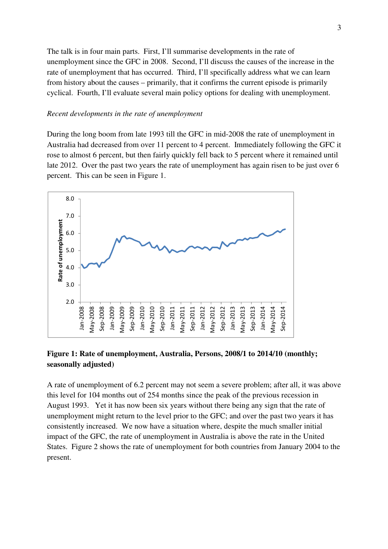The talk is in four main parts. First, I'll summarise developments in the rate of unemployment since the GFC in 2008. Second, I'll discuss the causes of the increase in the rate of unemployment that has occurred. Third, I'll specifically address what we can learn from history about the causes – primarily, that it confirms the current episode is primarily cyclical. Fourth, I'll evaluate several main policy options for dealing with unemployment.

#### *Recent developments in the rate of unemployment*

During the long boom from late 1993 till the GFC in mid-2008 the rate of unemployment in Australia had decreased from over 11 percent to 4 percent. Immediately following the GFC it rose to almost 6 percent, but then fairly quickly fell back to 5 percent where it remained until late 2012. Over the past two years the rate of unemployment has again risen to be just over 6 percent. This can be seen in Figure 1.



## **Figure 1: Rate of unemployment, Australia, Persons, 2008/1 to 2014/10 (monthly; seasonally adjusted)**

A rate of unemployment of 6.2 percent may not seem a severe problem; after all, it was above this level for 104 months out of 254 months since the peak of the previous recession in August 1993. Yet it has now been six years without there being any sign that the rate of unemployment might return to the level prior to the GFC; and over the past two years it has consistently increased. We now have a situation where, despite the much smaller initial impact of the GFC, the rate of unemployment in Australia is above the rate in the United States. Figure 2 shows the rate of unemployment for both countries from January 2004 to the present.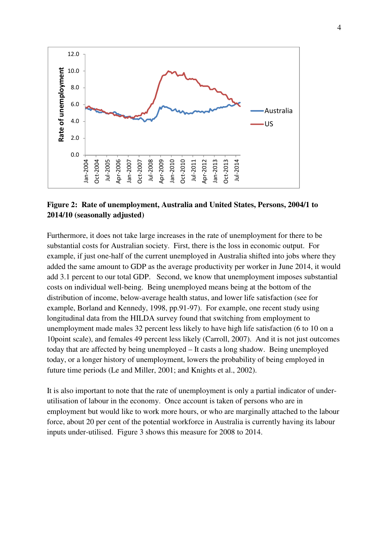

## **Figure 2: Rate of unemployment, Australia and United States, Persons, 2004/1 to 2014/10 (seasonally adjusted)**

Furthermore, it does not take large increases in the rate of unemployment for there to be substantial costs for Australian society. First, there is the loss in economic output. For example, if just one-half of the current unemployed in Australia shifted into jobs where they added the same amount to GDP as the average productivity per worker in June 2014, it would add 3.1 percent to our total GDP. Second, we know that unemployment imposes substantial costs on individual well-being. Being unemployed means being at the bottom of the distribution of income, below-average health status, and lower life satisfaction (see for example, Borland and Kennedy, 1998, pp.91-97). For example, one recent study using longitudinal data from the HILDA survey found that switching from employment to unemployment made males 32 percent less likely to have high life satisfaction (6 to 10 on a 10point scale), and females 49 percent less likely (Carroll, 2007). And it is not just outcomes today that are affected by being unemployed – It casts a long shadow. Being unemployed today, or a longer history of unemployment, lowers the probability of being employed in future time periods (Le and Miller, 2001; and Knights et al., 2002).

It is also important to note that the rate of unemployment is only a partial indicator of underutilisation of labour in the economy. Once account is taken of persons who are in employment but would like to work more hours, or who are marginally attached to the labour force, about 20 per cent of the potential workforce in Australia is currently having its labour inputs under-utilised. Figure 3 shows this measure for 2008 to 2014.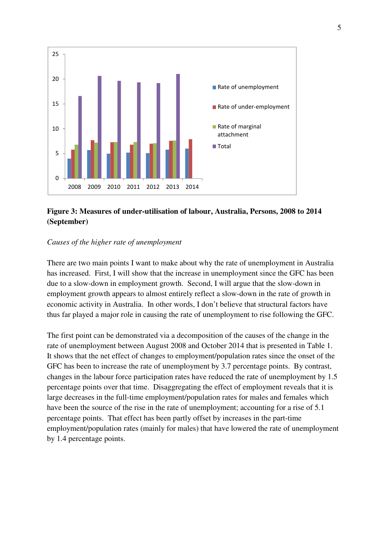

# **Figure 3: Measures of under-utilisation of labour, Australia, Persons, 2008 to 2014 (September)**

### *Causes of the higher rate of unemployment*

There are two main points I want to make about why the rate of unemployment in Australia has increased. First, I will show that the increase in unemployment since the GFC has been due to a slow-down in employment growth. Second, I will argue that the slow-down in employment growth appears to almost entirely reflect a slow-down in the rate of growth in economic activity in Australia. In other words, I don't believe that structural factors have thus far played a major role in causing the rate of unemployment to rise following the GFC.

The first point can be demonstrated via a decomposition of the causes of the change in the rate of unemployment between August 2008 and October 2014 that is presented in Table 1. It shows that the net effect of changes to employment/population rates since the onset of the GFC has been to increase the rate of unemployment by 3.7 percentage points. By contrast, changes in the labour force participation rates have reduced the rate of unemployment by 1.5 percentage points over that time. Disaggregating the effect of employment reveals that it is large decreases in the full-time employment/population rates for males and females which have been the source of the rise in the rate of unemployment; accounting for a rise of 5.1 percentage points. That effect has been partly offset by increases in the part-time employment/population rates (mainly for males) that have lowered the rate of unemployment by 1.4 percentage points.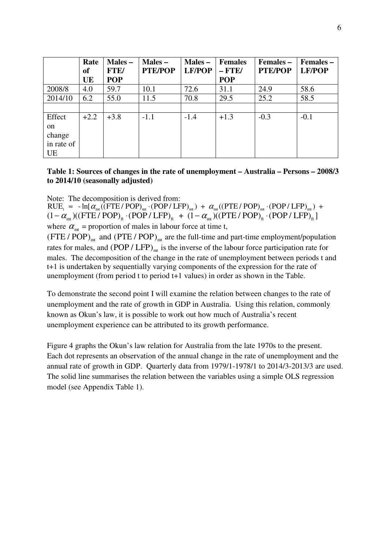|            | Rate      | Males -     | $Males -$      | Males -       | <b>Females</b> | <b>Females –</b> | Females –     |
|------------|-----------|-------------|----------------|---------------|----------------|------------------|---------------|
|            | <b>of</b> | <b>FTE/</b> | <b>PTE/POP</b> | <b>LF/POP</b> | $-$ FTE/       | <b>PTE/POP</b>   | <b>LF/POP</b> |
|            | UE        | <b>POP</b>  |                |               | <b>POP</b>     |                  |               |
| 2008/8     | 4.0       | 59.7        | 10.1           | 72.6          | 31.1           | 24.9             | 58.6          |
| 2014/10    | 6.2       | 55.0        | 11.5           | 70.8          | 29.5           | 25.2             | 58.5          |
|            |           |             |                |               |                |                  |               |
| Effect     | $+2.2$    | $+3.8$      | $-1.1$         | $-1.4$        | $+1.3$         | $-0.3$           | $-0.1$        |
| on         |           |             |                |               |                |                  |               |
| change     |           |             |                |               |                |                  |               |
| in rate of |           |             |                |               |                |                  |               |
| <b>UE</b>  |           |             |                |               |                |                  |               |

### **Table 1: Sources of changes in the rate of unemployment – Australia – Persons – 2008/3 to 2014/10 (seasonally adjusted)**

Note: The decomposition is derived from:

 $RUE_t \approx -ln[\alpha_{mt}((FTE/POP)_{mt} \cdot (POP/ LFP)_{mt}) + \alpha_{mt}((PTE/ POP)_{mt} \cdot (POP/ LFP)_{mt}) +$  $(1-\alpha_{mt})$ ((FTE / POP)<sub>ft</sub> · (POP / LFP)<sub>ft</sub> +  $(1-\alpha_{mt})$ ((PTE / POP)<sub>ft</sub> · (POP / LFP)<sub>ft</sub>] where  $\alpha_{\text{mt}}$  = proportion of males in labour force at time t,

(FTE / POP)<sub>nt</sub> and (PTE / POP)<sub>nt</sub> are the full-time and part-time employment/population rates for males, and  $(POP / LFP)_{mt}$  is the inverse of the labour force participation rate for males. The decomposition of the change in the rate of unemployment between periods t and t+1 is undertaken by sequentially varying components of the expression for the rate of unemployment (from period t to period t+1 values) in order as shown in the Table.

To demonstrate the second point I will examine the relation between changes to the rate of unemployment and the rate of growth in GDP in Australia. Using this relation, commonly known as Okun's law, it is possible to work out how much of Australia's recent unemployment experience can be attributed to its growth performance.

Figure 4 graphs the Okun's law relation for Australia from the late 1970s to the present. Each dot represents an observation of the annual change in the rate of unemployment and the annual rate of growth in GDP. Quarterly data from 1979/1-1978/1 to 2014/3-2013/3 are used. The solid line summarises the relation between the variables using a simple OLS regression model (see Appendix Table 1).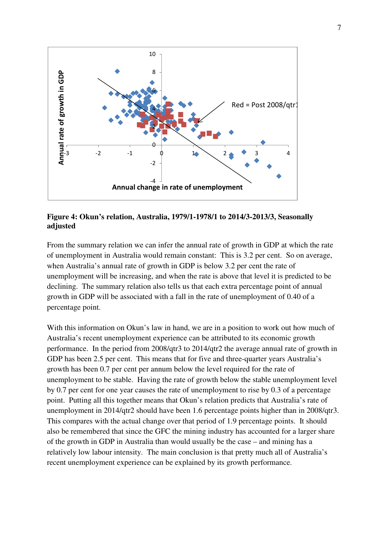

**Figure 4: Okun's relation, Australia, 1979/1-1978/1 to 2014/3-2013/3, Seasonally adjusted** 

From the summary relation we can infer the annual rate of growth in GDP at which the rate of unemployment in Australia would remain constant: This is 3.2 per cent. So on average, when Australia's annual rate of growth in GDP is below 3.2 per cent the rate of unemployment will be increasing, and when the rate is above that level it is predicted to be declining. The summary relation also tells us that each extra percentage point of annual growth in GDP will be associated with a fall in the rate of unemployment of 0.40 of a percentage point.

With this information on Okun's law in hand, we are in a position to work out how much of Australia's recent unemployment experience can be attributed to its economic growth performance. In the period from 2008/qtr3 to 2014/qtr2 the average annual rate of growth in GDP has been 2.5 per cent. This means that for five and three-quarter years Australia's growth has been 0.7 per cent per annum below the level required for the rate of unemployment to be stable. Having the rate of growth below the stable unemployment level by 0.7 per cent for one year causes the rate of unemployment to rise by 0.3 of a percentage point. Putting all this together means that Okun's relation predicts that Australia's rate of unemployment in 2014/qtr2 should have been 1.6 percentage points higher than in 2008/qtr3. This compares with the actual change over that period of 1.9 percentage points. It should also be remembered that since the GFC the mining industry has accounted for a larger share of the growth in GDP in Australia than would usually be the case – and mining has a relatively low labour intensity. The main conclusion is that pretty much all of Australia's recent unemployment experience can be explained by its growth performance.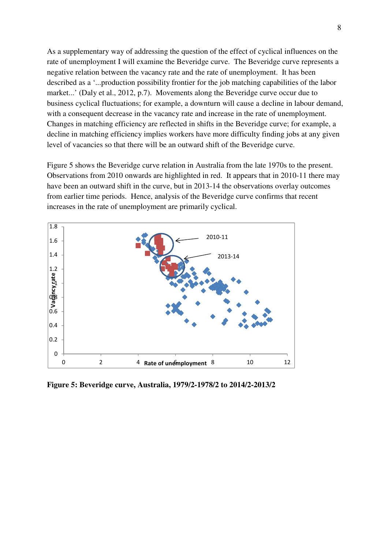As a supplementary way of addressing the question of the effect of cyclical influences on the rate of unemployment I will examine the Beveridge curve. The Beveridge curve represents a negative relation between the vacancy rate and the rate of unemployment. It has been described as a '...production possibility frontier for the job matching capabilities of the labor market...' (Daly et al., 2012, p.7). Movements along the Beveridge curve occur due to business cyclical fluctuations; for example, a downturn will cause a decline in labour demand, with a consequent decrease in the vacancy rate and increase in the rate of unemployment. Changes in matching efficiency are reflected in shifts in the Beveridge curve; for example, a decline in matching efficiency implies workers have more difficulty finding jobs at any given level of vacancies so that there will be an outward shift of the Beveridge curve.

Figure 5 shows the Beveridge curve relation in Australia from the late 1970s to the present. Observations from 2010 onwards are highlighted in red. It appears that in 2010-11 there may have been an outward shift in the curve, but in 2013-14 the observations overlay outcomes from earlier time periods. Hence, analysis of the Beveridge curve confirms that recent increases in the rate of unemployment are primarily cyclical.



**Figure 5: Beveridge curve, Australia, 1979/2-1978/2 to 2014/2-2013/2**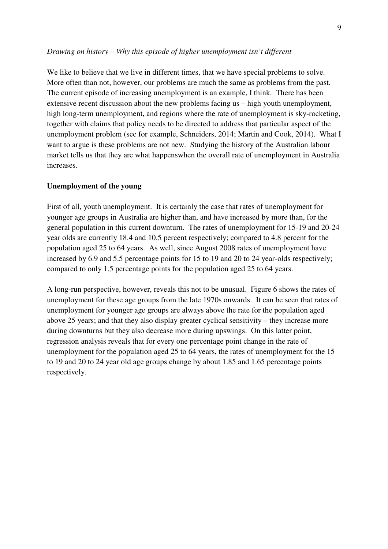#### *Drawing on history – Why this episode of higher unemployment isn't different*

We like to believe that we live in different times, that we have special problems to solve. More often than not, however, our problems are much the same as problems from the past. The current episode of increasing unemployment is an example, I think. There has been extensive recent discussion about the new problems facing us – high youth unemployment, high long-term unemployment, and regions where the rate of unemployment is sky-rocketing, together with claims that policy needs to be directed to address that particular aspect of the unemployment problem (see for example, Schneiders, 2014; Martin and Cook, 2014). What I want to argue is these problems are not new. Studying the history of the Australian labour market tells us that they are what happenswhen the overall rate of unemployment in Australia increases.

#### **Unemployment of the young**

First of all, youth unemployment. It is certainly the case that rates of unemployment for younger age groups in Australia are higher than, and have increased by more than, for the general population in this current downturn. The rates of unemployment for 15-19 and 20-24 year olds are currently 18.4 and 10.5 percent respectively; compared to 4.8 percent for the population aged 25 to 64 years. As well, since August 2008 rates of unemployment have increased by 6.9 and 5.5 percentage points for 15 to 19 and 20 to 24 year-olds respectively; compared to only 1.5 percentage points for the population aged 25 to 64 years.

A long-run perspective, however, reveals this not to be unusual. Figure 6 shows the rates of unemployment for these age groups from the late 1970s onwards. It can be seen that rates of unemployment for younger age groups are always above the rate for the population aged above 25 years; and that they also display greater cyclical sensitivity – they increase more during downturns but they also decrease more during upswings. On this latter point, regression analysis reveals that for every one percentage point change in the rate of unemployment for the population aged 25 to 64 years, the rates of unemployment for the 15 to 19 and 20 to 24 year old age groups change by about 1.85 and 1.65 percentage points respectively.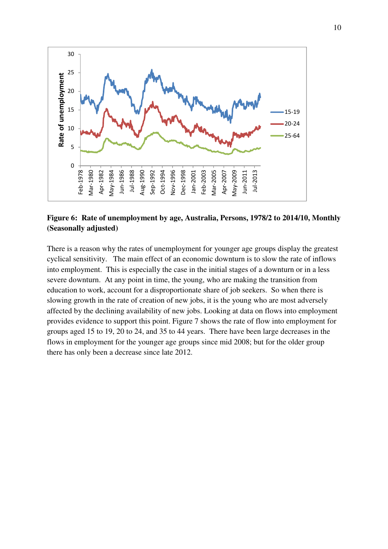

# **Figure 6: Rate of unemployment by age, Australia, Persons, 1978/2 to 2014/10, Monthly (Seasonally adjusted)**

There is a reason why the rates of unemployment for younger age groups display the greatest cyclical sensitivity. The main effect of an economic downturn is to slow the rate of inflows into employment. This is especially the case in the initial stages of a downturn or in a less severe downturn. At any point in time, the young, who are making the transition from education to work, account for a disproportionate share of job seekers. So when there is slowing growth in the rate of creation of new jobs, it is the young who are most adversely affected by the declining availability of new jobs. Looking at data on flows into employment provides evidence to support this point. Figure 7 shows the rate of flow into employment for groups aged 15 to 19, 20 to 24, and 35 to 44 years. There have been large decreases in the flows in employment for the younger age groups since mid 2008; but for the older group there has only been a decrease since late 2012.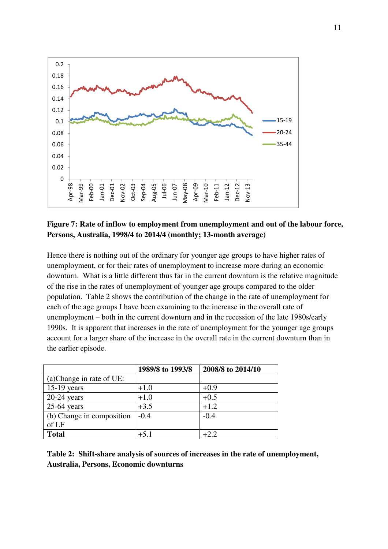

### **Figure 7: Rate of inflow to employment from unemployment and out of the labour force, Persons, Australia, 1998/4 to 2014/4 (monthly; 13-month average)**

Hence there is nothing out of the ordinary for younger age groups to have higher rates of unemployment, or for their rates of unemployment to increase more during an economic downturn. What is a little different thus far in the current downturn is the relative magnitude of the rise in the rates of unemployment of younger age groups compared to the older population. Table 2 shows the contribution of the change in the rate of unemployment for each of the age groups I have been examining to the increase in the overall rate of unemployment – both in the current downturn and in the recession of the late 1980s/early 1990s. It is apparent that increases in the rate of unemployment for the younger age groups account for a larger share of the increase in the overall rate in the current downturn than in the earlier episode.

|                           | 1989/8 to 1993/8 | 2008/8 to 2014/10 |
|---------------------------|------------------|-------------------|
| (a) Change in rate of UE: |                  |                   |
| $15-19$ years             | $+1.0$           | $+0.9$            |
| $20-24$ years             | $+1.0$           | $+0.5$            |
| $25-64$ years             | $+3.5$           | $+1.2$            |
| (b) Change in composition | $-0.4$           | $-0.4$            |
| of LF                     |                  |                   |
| <b>Total</b>              | $+5.1$           | +2.2              |

**Table 2: Shift-share analysis of sources of increases in the rate of unemployment, Australia, Persons, Economic downturns**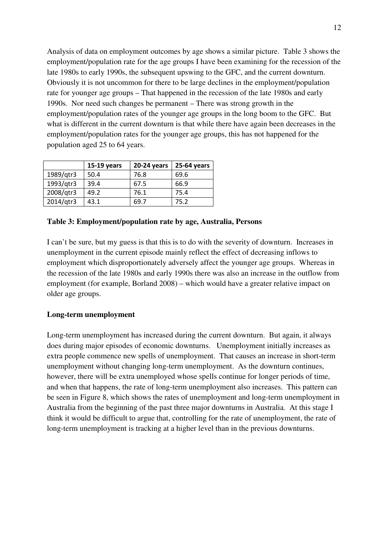Analysis of data on employment outcomes by age shows a similar picture. Table 3 shows the employment/population rate for the age groups I have been examining for the recession of the late 1980s to early 1990s, the subsequent upswing to the GFC, and the current downturn. Obviously it is not uncommon for there to be large declines in the employment/population rate for younger age groups – That happened in the recession of the late 1980s and early 1990s. Nor need such changes be permanent – There was strong growth in the employment/population rates of the younger age groups in the long boom to the GFC. But what is different in the current downturn is that while there have again been decreases in the employment/population rates for the younger age groups, this has not happened for the population aged 25 to 64 years.

|           | 15-19 years | 20-24 years | 25-64 years |
|-----------|-------------|-------------|-------------|
| 1989/qtr3 | 50.4        | 76.8        | 69.6        |
| 1993/qtr3 | 39.4        | 67.5        | 66.9        |
| 2008/qtr3 | 49.2        | 76.1        | 75.4        |
| 2014/gtr3 | 43.1        | 69.7        | 75.2        |

#### **Table 3: Employment/population rate by age, Australia, Persons**

I can't be sure, but my guess is that this is to do with the severity of downturn. Increases in unemployment in the current episode mainly reflect the effect of decreasing inflows to employment which disproportionately adversely affect the younger age groups. Whereas in the recession of the late 1980s and early 1990s there was also an increase in the outflow from employment (for example, Borland 2008) – which would have a greater relative impact on older age groups.

#### **Long-term unemployment**

Long-term unemployment has increased during the current downturn. But again, it always does during major episodes of economic downturns. Unemployment initially increases as extra people commence new spells of unemployment. That causes an increase in short-term unemployment without changing long-term unemployment. As the downturn continues, however, there will be extra unemployed whose spells continue for longer periods of time, and when that happens, the rate of long-term unemployment also increases. This pattern can be seen in Figure 8, which shows the rates of unemployment and long-term unemployment in Australia from the beginning of the past three major downturns in Australia. At this stage I think it would be difficult to argue that, controlling for the rate of unemployment, the rate of long-term unemployment is tracking at a higher level than in the previous downturns.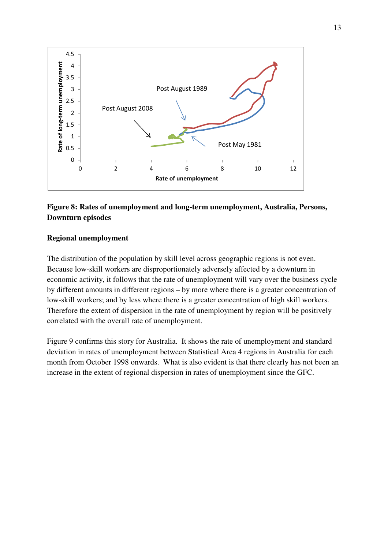

# **Figure 8: Rates of unemployment and long-term unemployment, Australia, Persons, Downturn episodes**

#### **Regional unemployment**

The distribution of the population by skill level across geographic regions is not even. Because low-skill workers are disproportionately adversely affected by a downturn in economic activity, it follows that the rate of unemployment will vary over the business cycle by different amounts in different regions – by more where there is a greater concentration of low-skill workers; and by less where there is a greater concentration of high skill workers. Therefore the extent of dispersion in the rate of unemployment by region will be positively correlated with the overall rate of unemployment.

Figure 9 confirms this story for Australia. It shows the rate of unemployment and standard deviation in rates of unemployment between Statistical Area 4 regions in Australia for each month from October 1998 onwards. What is also evident is that there clearly has not been an increase in the extent of regional dispersion in rates of unemployment since the GFC.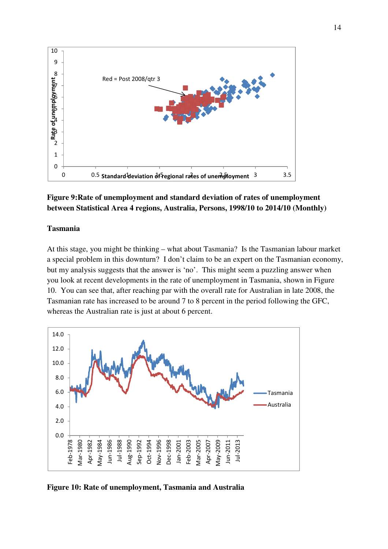

# **Figure 9:Rate of unemployment and standard deviation of rates of unemployment between Statistical Area 4 regions, Australia, Persons, 1998/10 to 2014/10 (Monthly)**

#### **Tasmania**

At this stage, you might be thinking – what about Tasmania? Is the Tasmanian labour market a special problem in this downturn? I don't claim to be an expert on the Tasmanian economy, but my analysis suggests that the answer is 'no'. This might seem a puzzling answer when you look at recent developments in the rate of unemployment in Tasmania, shown in Figure 10. You can see that, after reaching par with the overall rate for Australian in late 2008, the Tasmanian rate has increased to be around 7 to 8 percent in the period following the GFC, whereas the Australian rate is just at about 6 percent.



**Figure 10: Rate of unemployment, Tasmania and Australia**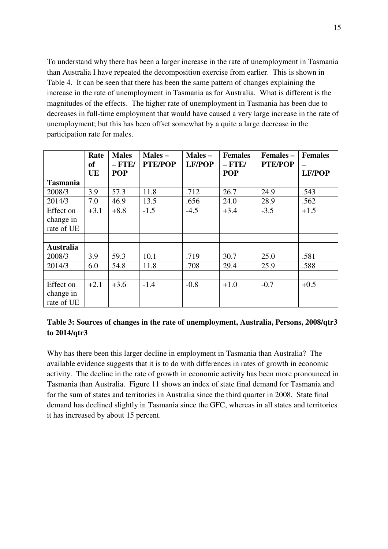To understand why there has been a larger increase in the rate of unemployment in Tasmania than Australia I have repeated the decomposition exercise from earlier. This is shown in Table 4. It can be seen that there has been the same pattern of changes explaining the increase in the rate of unemployment in Tasmania as for Australia. What is different is the magnitudes of the effects. The higher rate of unemployment in Tasmania has been due to decreases in full-time employment that would have caused a very large increase in the rate of unemployment; but this has been offset somewhat by a quite a large decrease in the participation rate for males.

|                  | Rate<br><b>of</b> | <b>Males</b><br>$-$ FTE/ | $Males -$<br><b>PTE/POP</b> | Males-<br><b>LF/POP</b> | <b>Females</b><br>$-$ FTE/ | Females -<br><b>PTE/POP</b> | <b>Females</b> |
|------------------|-------------------|--------------------------|-----------------------------|-------------------------|----------------------------|-----------------------------|----------------|
|                  | UE                | <b>POP</b>               |                             |                         | <b>POP</b>                 |                             | <b>LF/POP</b>  |
| <b>Tasmania</b>  |                   |                          |                             |                         |                            |                             |                |
| 2008/3           | 3.9               | 57.3                     | 11.8                        | .712                    | 26.7                       | 24.9                        | .543           |
| 2014/3           | 7.0               | 46.9                     | 13.5                        | .656                    | 24.0                       | 28.9                        | .562           |
| Effect on        | $+3.1$            | $+8.8$                   | $-1.5$                      | $-4.5$                  | $+3.4$                     | $-3.5$                      | $+1.5$         |
| change in        |                   |                          |                             |                         |                            |                             |                |
| rate of UE       |                   |                          |                             |                         |                            |                             |                |
|                  |                   |                          |                             |                         |                            |                             |                |
| <b>Australia</b> |                   |                          |                             |                         |                            |                             |                |
| 2008/3           | 3.9               | 59.3                     | 10.1                        | .719                    | 30.7                       | 25.0                        | .581           |
| 2014/3           | 6.0               | 54.8                     | 11.8                        | .708                    | 29.4                       | 25.9                        | .588           |
|                  |                   |                          |                             |                         |                            |                             |                |
| Effect on        | $+2.1$            | $+3.6$                   | $-1.4$                      | $-0.8$                  | $+1.0$                     | $-0.7$                      | $+0.5$         |
| change in        |                   |                          |                             |                         |                            |                             |                |
| rate of UE       |                   |                          |                             |                         |                            |                             |                |

# **Table 3: Sources of changes in the rate of unemployment, Australia, Persons, 2008/qtr3 to 2014/qtr3**

Why has there been this larger decline in employment in Tasmania than Australia? The available evidence suggests that it is to do with differences in rates of growth in economic activity. The decline in the rate of growth in economic activity has been more pronounced in Tasmania than Australia. Figure 11 shows an index of state final demand for Tasmania and for the sum of states and territories in Australia since the third quarter in 2008. State final demand has declined slightly in Tasmania since the GFC, whereas in all states and territories it has increased by about 15 percent.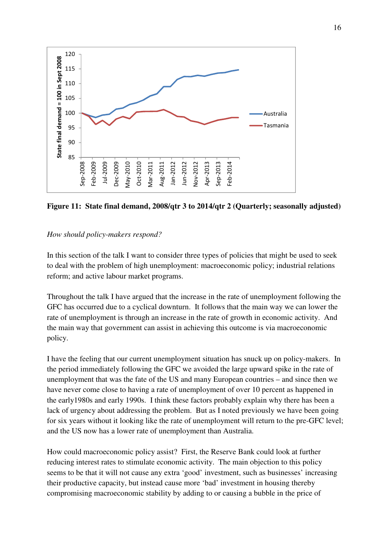

**Figure 11: State final demand, 2008/qtr 3 to 2014/qtr 2 (Quarterly; seasonally adjusted)** 

### *How should policy-makers respond?*

In this section of the talk I want to consider three types of policies that might be used to seek to deal with the problem of high unemployment: macroeconomic policy; industrial relations reform; and active labour market programs.

Throughout the talk I have argued that the increase in the rate of unemployment following the GFC has occurred due to a cyclical downturn. It follows that the main way we can lower the rate of unemployment is through an increase in the rate of growth in economic activity. And the main way that government can assist in achieving this outcome is via macroeconomic policy.

I have the feeling that our current unemployment situation has snuck up on policy-makers. In the period immediately following the GFC we avoided the large upward spike in the rate of unemployment that was the fate of the US and many European countries – and since then we have never come close to having a rate of unemployment of over 10 percent as happened in the early1980s and early 1990s. I think these factors probably explain why there has been a lack of urgency about addressing the problem. But as I noted previously we have been going for six years without it looking like the rate of unemployment will return to the pre-GFC level; and the US now has a lower rate of unemployment than Australia.

How could macroeconomic policy assist? First, the Reserve Bank could look at further reducing interest rates to stimulate economic activity. The main objection to this policy seems to be that it will not cause any extra 'good' investment, such as businesses' increasing their productive capacity, but instead cause more 'bad' investment in housing thereby compromising macroeconomic stability by adding to or causing a bubble in the price of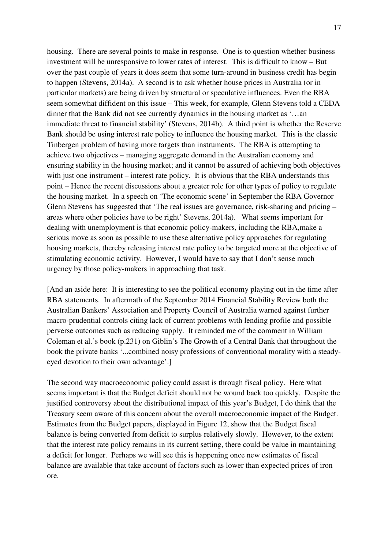housing. There are several points to make in response. One is to question whether business investment will be unresponsive to lower rates of interest. This is difficult to know – But over the past couple of years it does seem that some turn-around in business credit has begin to happen (Stevens, 2014a). A second is to ask whether house prices in Australia (or in particular markets) are being driven by structural or speculative influences. Even the RBA seem somewhat diffident on this issue – This week, for example, Glenn Stevens told a CEDA dinner that the Bank did not see currently dynamics in the housing market as '…an immediate threat to financial stability' (Stevens, 2014b). A third point is whether the Reserve Bank should be using interest rate policy to influence the housing market. This is the classic Tinbergen problem of having more targets than instruments. The RBA is attempting to achieve two objectives – managing aggregate demand in the Australian economy and ensuring stability in the housing market; and it cannot be assured of achieving both objectives with just one instrument – interest rate policy. It is obvious that the RBA understands this point – Hence the recent discussions about a greater role for other types of policy to regulate the housing market. In a speech on 'The economic scene' in September the RBA Governor Glenn Stevens has suggested that 'The real issues are governance, risk-sharing and pricing – areas where other policies have to be right' Stevens, 2014a). What seems important for dealing with unemployment is that economic policy-makers, including the RBA,make a serious move as soon as possible to use these alternative policy approaches for regulating housing markets, thereby releasing interest rate policy to be targeted more at the objective of stimulating economic activity. However, I would have to say that I don't sense much urgency by those policy-makers in approaching that task.

[And an aside here: It is interesting to see the political economy playing out in the time after RBA statements. In aftermath of the September 2014 Financial Stability Review both the Australian Bankers' Association and Property Council of Australia warned against further macro-prudential controls citing lack of current problems with lending profile and possible perverse outcomes such as reducing supply. It reminded me of the comment in William Coleman et al.'s book (p.231) on Giblin's The Growth of a Central Bank that throughout the book the private banks '...combined noisy professions of conventional morality with a steadyeyed devotion to their own advantage'.]

The second way macroeconomic policy could assist is through fiscal policy. Here what seems important is that the Budget deficit should not be wound back too quickly. Despite the justified controversy about the distributional impact of this year's Budget, I do think that the Treasury seem aware of this concern about the overall macroeconomic impact of the Budget. Estimates from the Budget papers, displayed in Figure 12, show that the Budget fiscal balance is being converted from deficit to surplus relatively slowly. However, to the extent that the interest rate policy remains in its current setting, there could be value in maintaining a deficit for longer. Perhaps we will see this is happening once new estimates of fiscal balance are available that take account of factors such as lower than expected prices of iron ore.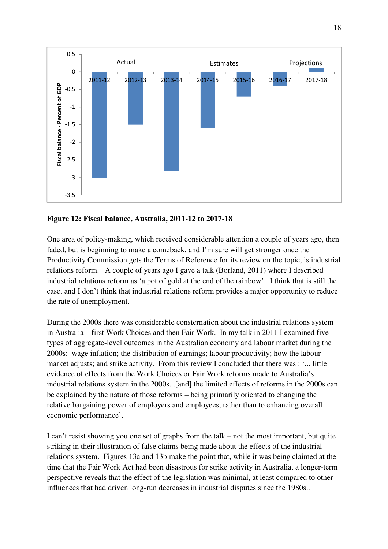

# **Figure 12: Fiscal balance, Australia, 2011-12 to 2017-18**

One area of policy-making, which received considerable attention a couple of years ago, then faded, but is beginning to make a comeback, and I'm sure will get stronger once the Productivity Commission gets the Terms of Reference for its review on the topic, is industrial relations reform. A couple of years ago I gave a talk (Borland, 2011) where I described industrial relations reform as 'a pot of gold at the end of the rainbow'. I think that is still the case, and I don't think that industrial relations reform provides a major opportunity to reduce the rate of unemployment.

During the 2000s there was considerable consternation about the industrial relations system in Australia – first Work Choices and then Fair Work. In my talk in 2011 I examined five types of aggregate-level outcomes in the Australian economy and labour market during the 2000s: wage inflation; the distribution of earnings; labour productivity; how the labour market adjusts; and strike activity. From this review I concluded that there was : '... little evidence of effects from the Work Choices or Fair Work reforms made to Australia's industrial relations system in the 2000s...[and] the limited effects of reforms in the 2000s can be explained by the nature of those reforms – being primarily oriented to changing the relative bargaining power of employers and employees, rather than to enhancing overall economic performance'.

I can't resist showing you one set of graphs from the talk – not the most important, but quite striking in their illustration of false claims being made about the effects of the industrial relations system. Figures 13a and 13b make the point that, while it was being claimed at the time that the Fair Work Act had been disastrous for strike activity in Australia, a longer-term perspective reveals that the effect of the legislation was minimal, at least compared to other influences that had driven long-run decreases in industrial disputes since the 1980s..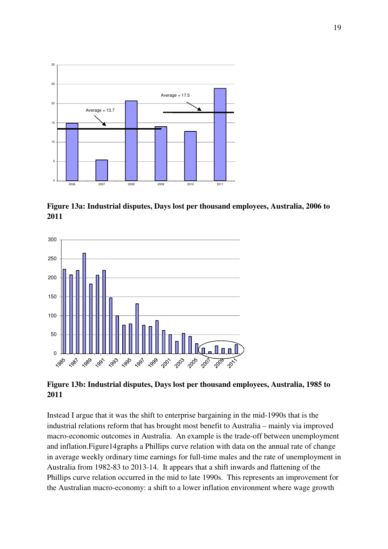

**Figure 13a: Industrial disputes, Days lost per thousand employees, Australia, 2006 to 2011** 



**Figure 13b: Industrial disputes, Days lost per thousand employees, Australia, 1985 to 2011** 

Instead I argue that it was the shift to enterprise bargaining in the mid-1990s that is the industrial relations reform that has brought most benefit to Australia – mainly via improved macro-economic outcomes in Australia. An example is the trade-off between unemployment and inflation.Figure14graphs a Phillips curve relation with data on the annual rate of change in average weekly ordinary time earnings for full-time males and the rate of unemployment in Australia from 1982-83 to 2013-14. It appears that a shift inwards and flattening of the Phillips curve relation occurred in the mid to late 1990s. This represents an improvement for the Australian macro-economy: a shift to a lower inflation environment where wage growth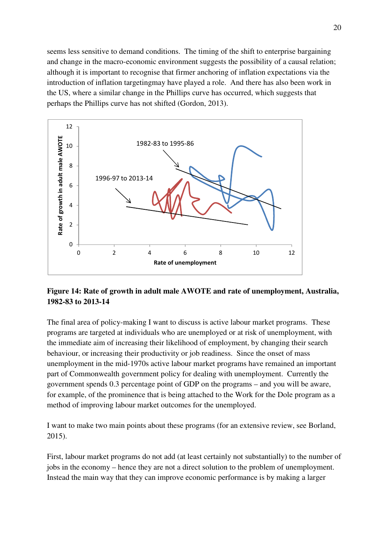seems less sensitive to demand conditions. The timing of the shift to enterprise bargaining and change in the macro-economic environment suggests the possibility of a causal relation; although it is important to recognise that firmer anchoring of inflation expectations via the introduction of inflation targetingmay have played a role. And there has also been work in the US, where a similar change in the Phillips curve has occurred, which suggests that perhaps the Phillips curve has not shifted (Gordon, 2013).



# **Figure 14: Rate of growth in adult male AWOTE and rate of unemployment, Australia, 1982-83 to 2013-14**

The final area of policy-making I want to discuss is active labour market programs. These programs are targeted at individuals who are unemployed or at risk of unemployment, with the immediate aim of increasing their likelihood of employment, by changing their search behaviour, or increasing their productivity or job readiness. Since the onset of mass unemployment in the mid-1970s active labour market programs have remained an important part of Commonwealth government policy for dealing with unemployment. Currently the government spends 0.3 percentage point of GDP on the programs – and you will be aware, for example, of the prominence that is being attached to the Work for the Dole program as a method of improving labour market outcomes for the unemployed.

I want to make two main points about these programs (for an extensive review, see Borland, 2015).

First, labour market programs do not add (at least certainly not substantially) to the number of jobs in the economy – hence they are not a direct solution to the problem of unemployment. Instead the main way that they can improve economic performance is by making a larger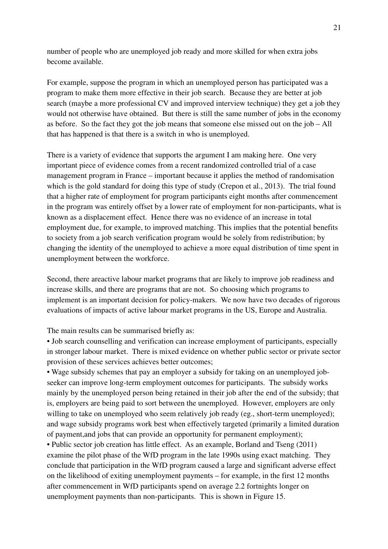number of people who are unemployed job ready and more skilled for when extra jobs become available.

For example, suppose the program in which an unemployed person has participated was a program to make them more effective in their job search. Because they are better at job search (maybe a more professional CV and improved interview technique) they get a job they would not otherwise have obtained. But there is still the same number of jobs in the economy as before. So the fact they got the job means that someone else missed out on the job – All that has happened is that there is a switch in who is unemployed.

There is a variety of evidence that supports the argument I am making here. One very important piece of evidence comes from a recent randomized controlled trial of a case management program in France – important because it applies the method of randomisation which is the gold standard for doing this type of study (Crepon et al., 2013). The trial found that a higher rate of employment for program participants eight months after commencement in the program was entirely offset by a lower rate of employment for non-participants, what is known as a displacement effect. Hence there was no evidence of an increase in total employment due, for example, to improved matching. This implies that the potential benefits to society from a job search verification program would be solely from redistribution; by changing the identity of the unemployed to achieve a more equal distribution of time spent in unemployment between the workforce.

Second, there areactive labour market programs that are likely to improve job readiness and increase skills, and there are programs that are not. So choosing which programs to implement is an important decision for policy-makers. We now have two decades of rigorous evaluations of impacts of active labour market programs in the US, Europe and Australia.

The main results can be summarised briefly as:

• Job search counselling and verification can increase employment of participants, especially in stronger labour market. There is mixed evidence on whether public sector or private sector provision of these services achieves better outcomes;

• Wage subsidy schemes that pay an employer a subsidy for taking on an unemployed jobseeker can improve long-term employment outcomes for participants. The subsidy works mainly by the unemployed person being retained in their job after the end of the subsidy; that is, employers are being paid to sort between the unemployed. However, employers are only willing to take on unemployed who seem relatively job ready (eg., short-term unemployed); and wage subsidy programs work best when effectively targeted (primarily a limited duration of payment,and jobs that can provide an opportunity for permanent employment);

• Public sector job creation has little effect. As an example, Borland and Tseng (2011) examine the pilot phase of the WfD program in the late 1990s using exact matching. They conclude that participation in the WfD program caused a large and significant adverse effect on the likelihood of exiting unemployment payments – for example, in the first 12 months after commencement in WfD participants spend on average 2.2 fortnights longer on unemployment payments than non-participants. This is shown in Figure 15.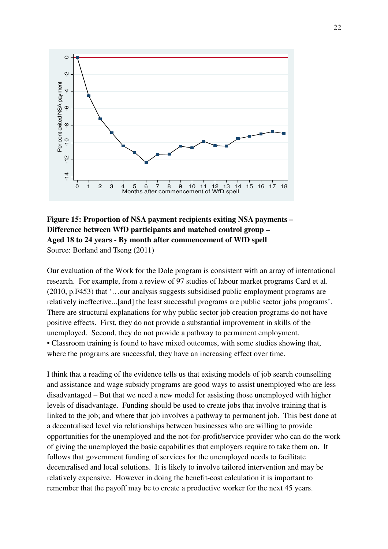

# **Figure 15: Proportion of NSA payment recipients exiting NSA payments – Difference between WfD participants and matched control group – Aged 18 to 24 years - By month after commencement of WfD spell**  Source: Borland and Tseng (2011)

Our evaluation of the Work for the Dole program is consistent with an array of international research. For example, from a review of 97 studies of labour market programs Card et al. (2010, p.F453) that '…our analysis suggests subsidised public employment programs are relatively ineffective...[and] the least successful programs are public sector jobs programs'. There are structural explanations for why public sector job creation programs do not have positive effects. First, they do not provide a substantial improvement in skills of the unemployed. Second, they do not provide a pathway to permanent employment. • Classroom training is found to have mixed outcomes, with some studies showing that, where the programs are successful, they have an increasing effect over time.

I think that a reading of the evidence tells us that existing models of job search counselling and assistance and wage subsidy programs are good ways to assist unemployed who are less disadvantaged – But that we need a new model for assisting those unemployed with higher levels of disadvantage. Funding should be used to create jobs that involve training that is linked to the job; and where that job involves a pathway to permanent job. This best done at a decentralised level via relationships between businesses who are willing to provide opportunities for the unemployed and the not-for-profit/service provider who can do the work of giving the unemployed the basic capabilities that employers require to take them on. It follows that government funding of services for the unemployed needs to facilitate decentralised and local solutions. It is likely to involve tailored intervention and may be relatively expensive. However in doing the benefit-cost calculation it is important to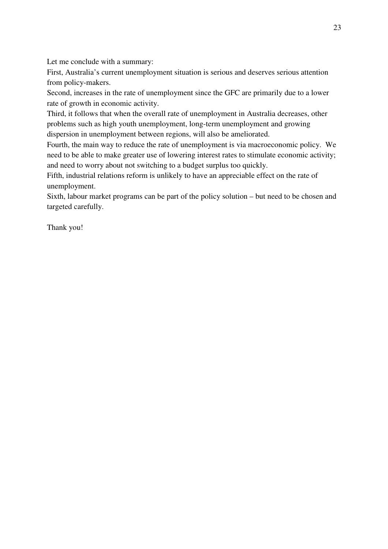Let me conclude with a summary:

First, Australia's current unemployment situation is serious and deserves serious attention from policy-makers.

Second, increases in the rate of unemployment since the GFC are primarily due to a lower rate of growth in economic activity.

Third, it follows that when the overall rate of unemployment in Australia decreases, other problems such as high youth unemployment, long-term unemployment and growing dispersion in unemployment between regions, will also be ameliorated.

Fourth, the main way to reduce the rate of unemployment is via macroeconomic policy. We need to be able to make greater use of lowering interest rates to stimulate economic activity; and need to worry about not switching to a budget surplus too quickly.

Fifth, industrial relations reform is unlikely to have an appreciable effect on the rate of unemployment.

Sixth, labour market programs can be part of the policy solution – but need to be chosen and targeted carefully.

Thank you!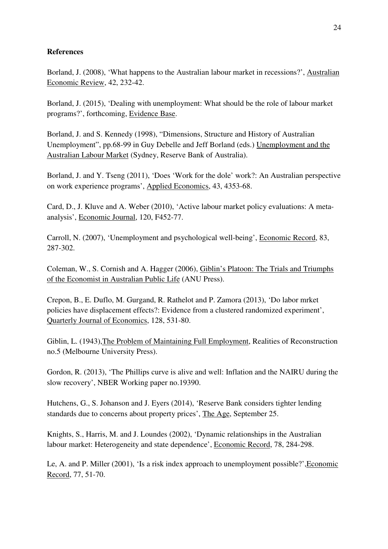# **References**

Borland, J. (2008), 'What happens to the Australian labour market in recessions?', Australian Economic Review, 42, 232-42.

Borland, J. (2015), 'Dealing with unemployment: What should be the role of labour market programs?', forthcoming, Evidence Base.

Borland, J. and S. Kennedy (1998), "Dimensions, Structure and History of Australian Unemployment", pp.68-99 in Guy Debelle and Jeff Borland (eds.) Unemployment and the Australian Labour Market (Sydney, Reserve Bank of Australia).

Borland, J. and Y. Tseng (2011), 'Does 'Work for the dole' work?: An Australian perspective on work experience programs', Applied Economics, 43, 4353-68.

Card, D., J. Kluve and A. Weber (2010), 'Active labour market policy evaluations: A metaanalysis', Economic Journal, 120, F452-77.

Carroll, N. (2007), 'Unemployment and psychological well-being', Economic Record, 83, 287-302.

Coleman, W., S. Cornish and A. Hagger (2006), Giblin's Platoon: The Trials and Triumphs of the Economist in Australian Public Life (ANU Press).

Crepon, B., E. Duflo, M. Gurgand, R. Rathelot and P. Zamora (2013), 'Do labor mrket policies have displacement effects?: Evidence from a clustered randomized experiment', Quarterly Journal of Economics, 128, 531-80.

Giblin, L. (1943),The Problem of Maintaining Full Employment, Realities of Reconstruction no.5 (Melbourne University Press).

Gordon, R. (2013), 'The Phillips curve is alive and well: Inflation and the NAIRU during the slow recovery', NBER Working paper no.19390.

Hutchens, G., S. Johanson and J. Eyers (2014), 'Reserve Bank considers tighter lending standards due to concerns about property prices', The Age, September 25.

Knights, S., Harris, M. and J. Loundes (2002), 'Dynamic relationships in the Australian labour market: Heterogeneity and state dependence', Economic Record, 78, 284-298.

Le, A. and P. Miller (2001), 'Is a risk index approach to unemployment possible?',Economic Record, 77, 51-70.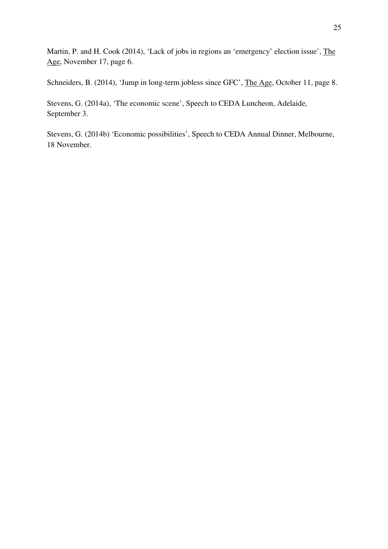Martin, P. and H. Cook (2014), 'Lack of jobs in regions an 'emergency' election issue', The Age, November 17, page 6.

Schneiders, B. (2014), 'Jump in long-term jobless since GFC', The Age, October 11, page 8.

Stevens, G. (2014a), 'The economic scene', Speech to CEDA Luncheon, Adelaide, September 3.

Stevens, G. (2014b) 'Economic possibilities', Speech to CEDA Annual Dinner, Melbourne, 18 November.